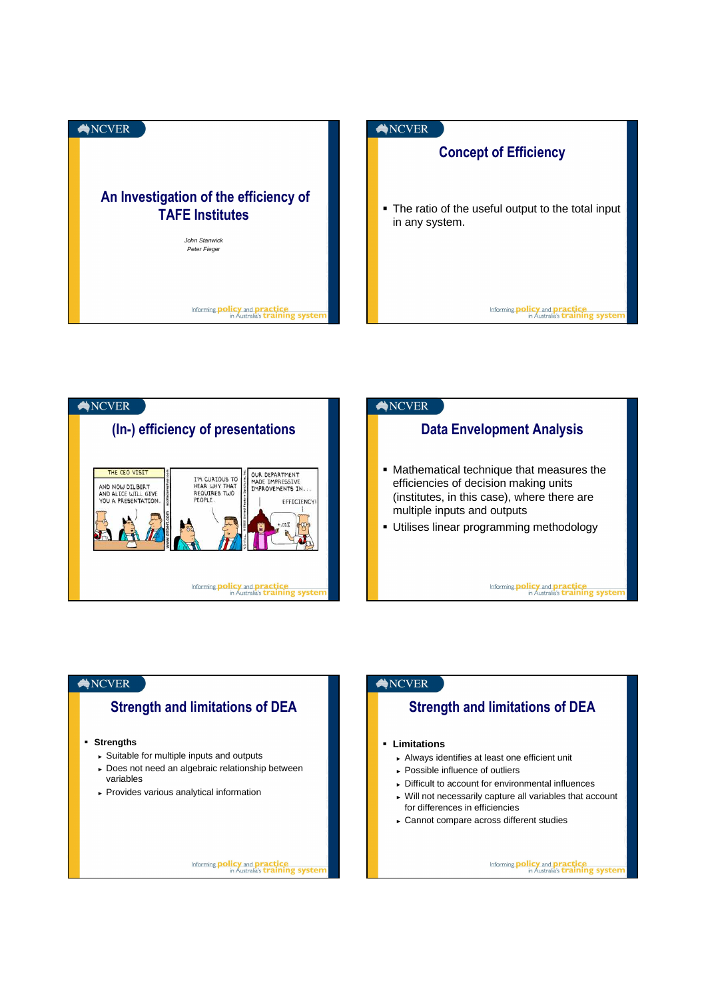





# ANCVER

# Strength and limitations of DEA

### **Strengths**

- ► Suitable for multiple inputs and outputs
- ► Does not need an algebraic relationship between variables
- ► Provides various analytical information

Informing **policy** and **practice**<br>in Australia's **training systen** 

### ANCVER

## Strength and limitations of DEA

#### **Limitations**

- ► Always identifies at least one efficient unit
- ► Possible influence of outliers
- ► Difficult to account for environmental influences
- ► Will not necessarily capture all variables that account for differences in efficiencies
- ► Cannot compare across different studies

Informing **policy** and **practice**<br>in Australia's **training system**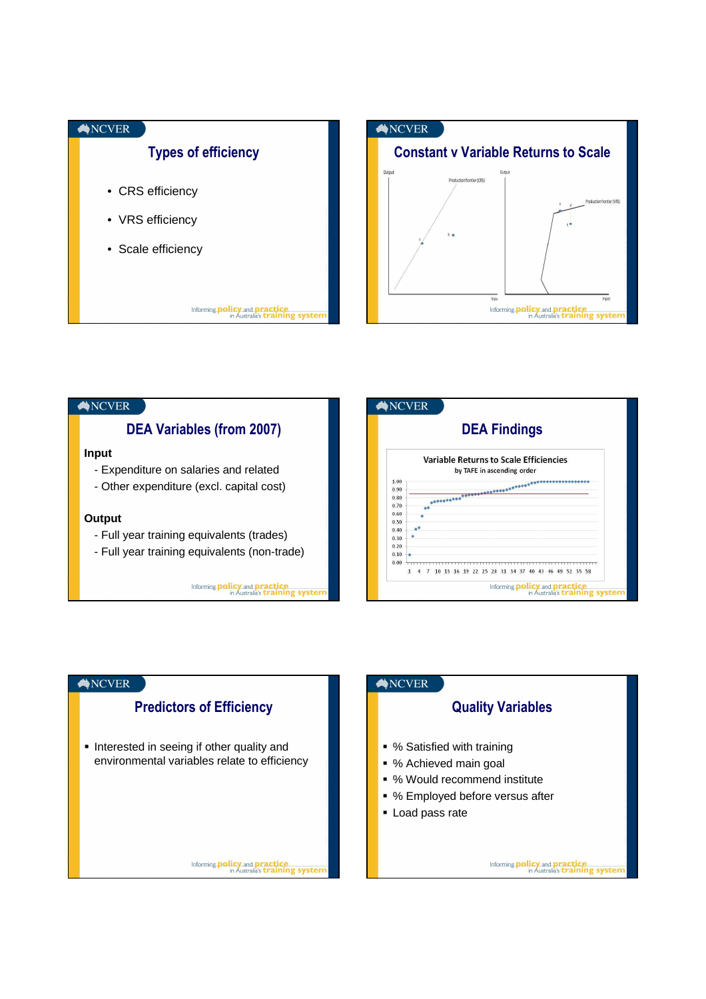





### ANCVER

### Quality Variables

- % Satisfied with training
- % Achieved main goal
- % Would recommend institute
- % Employed before versus after
- **Load pass rate**

Informing **policy** and **practice**<br>in Australia's **training system**